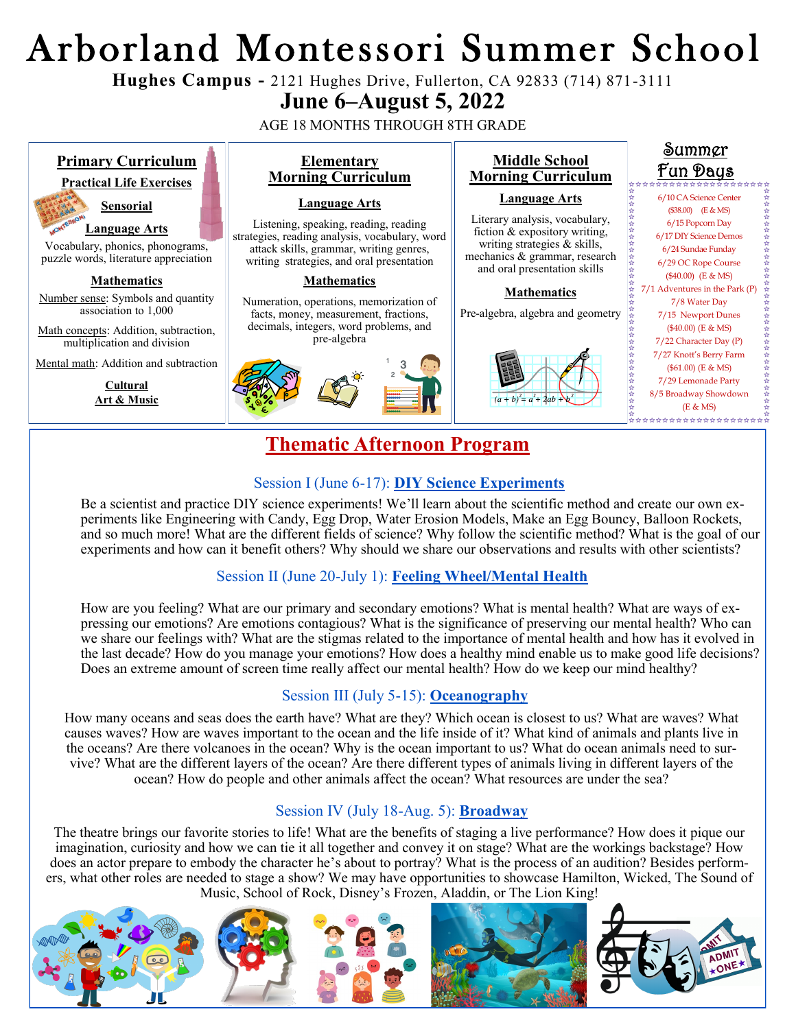# Arborland Montessori Summer Schoo l

**Hughes Campus -** 2121 Hughes Drive, Fullerton, CA 92833 (714) 871-3111

## **June 6–August 5, 2022**

AGE 18 MONTHS THROUGH 8TH GRADE



☆☆☆☆☆☆☆☆☆☆☆☆☆☆☆☆☆☆☆☆☆☆☆

Be a scientist and practice DIY science experiments! We'll learn about the scientific method and create our own experiments like Engineering with Candy, Egg Drop, Water Erosion Models, Make an Egg Bouncy, Balloon Rockets, and so much more! What are the different fields of science? Why follow the scientific method? What is the goal of our experiments and how can it benefit others? Why should we share our observations and results with other scientists?

### Session II (June 20-July 1): **Feeling Wheel/Mental Health**

How are you feeling? What are our primary and secondary emotions? What is mental health? What are ways of expressing our emotions? Are emotions contagious? What is the significance of preserving our mental health? Who can we share our feelings with? What are the stigmas related to the importance of mental health and how has it evolved in the last decade? How do you manage your emotions? How does a healthy mind enable us to make good life decisions? Does an extreme amount of screen time really affect our mental health? How do we keep our mind healthy?

#### Session III (July 5-15): **Oceanography**

How many oceans and seas does the earth have? What are they? Which ocean is closest to us? What are waves? What causes waves? How are waves important to the ocean and the life inside of it? What kind of animals and plants live in the oceans? Are there volcanoes in the ocean? Why is the ocean important to us? What do ocean animals need to survive? What are the different layers of the ocean? Are there different types of animals living in different layers of the ocean? How do people and other animals affect the ocean? What resources are under the sea?

#### Session IV (July 18-Aug. 5): **Broadway**

The theatre brings our favorite stories to life! What are the benefits of staging a live performance? How does it pique our imagination, curiosity and how we can tie it all together and convey it on stage? What are the workings backstage? How does an actor prepare to embody the character he's about to portray? What is the process of an audition? Besides performers, what other roles are needed to stage a show? We may have opportunities to showcase Hamilton, Wicked, The Sound of Music, School of Rock, Disney's Frozen, Aladdin, or The Lion King!